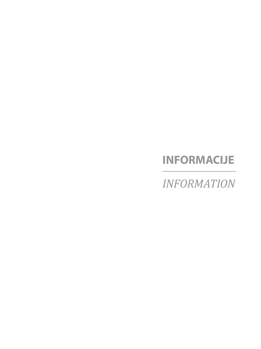# **INFORMACIJE**

*INFORMATION*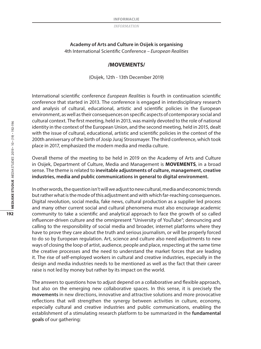## **Academy of Arts and Culture in Osijek is organising** 4th International Scientific Conference *– European Realities*

#### **/MOVEMENTS/**

(Osijek, 12th - 13th December 2019)

International scientific conference *European Realities* is fourth in continuation scientific conference that started in 2013. The conference is engaged in interdisciplinary research and analysis of cultural, educational, artistic and scientific policies in the European environment, as well as their consequences on specific aspects of contemporary social and cultural context. The first meeting, held in 2013, was mainly devoted to the role of national identity in the context of the European Union, and the second meeting, held in 2015, dealt with the issue of cultural, educational, artistic and scientific policies in the context of the 200th anniversary of the birth of Josip Juraj Strossmayer. The third conference, which took place in 2017, emphasized the modern media and media culture.

Overall theme of the meeting to be held in 2019 on the Academy of Arts and Culture in Osijek, Department of Culture, Media and Management is **MOVEMENTS***,* in a broad sense. The theme is related to **inevitable adjustments of culture, management, creative industries, media and public communications in general to digital environment.**

In other words, the question isn't will we adjust to new cultural, media and economic trends but rather what is the mode of this adjustment and with which far-reaching consequences. Digital revolution, social media, fake news, cultural production as a supplier led process and many other current social and cultural phenomena must also encourage academic community to take a scientific and analytical approach to face the growth of so called influencer-driven culture and the omnipresent "University of YouTube"; denouncing and calling to the responsibility of social media and broader, internet platforms where they have to prove they care about the truth and serious journalism, or will be properly forced to do so by European regulation. Art, science and culture also need adjustments to new ways of closing the loop of artist, audience, people and place, respecting at the same time the creative processes and the need to understand the market forces that are leading it. The rise of self-employed workers in cultural and creative industries, especially in the design and media industries needs to be mentioned as well as the fact that their career raise is not led by money but rather by its impact on the world.

The answers to questions how to adjust depend on a collaborative and flexible approach, but also on the emerging new collaborative spaces. In this sense, it is precisely the **movements** in new directions, innovative and attractive solutions and more provocative reflections that will strengthen the synergy between activities in culture, economy, especially cultural and creative industries and public communications, enabling the establishment of a stimulating research platform to be summarized in the **fundamental goals** of our gathering: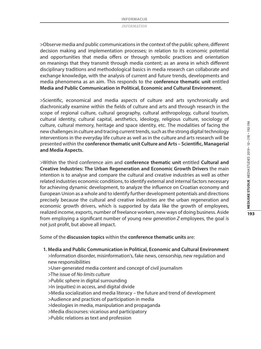>Observe media and public communications in the context of the public sphere, different decision making and implementation processes; in relation to its economic potential and opportunities that media offers or through symbolic practices and orientation on meanings that they transmit through media content; as an arena in which different disciplinary traditions and methodological basics in media research can collaborate and exchange knowledge, with the analysis of current and future trends, developments and media phenomena as an aim. This responds to the **conference thematic unit** entitled **Media and Public Communication in Political, Economic and Cultural Environment.**

>Scientific, economical and media aspects of culture and arts synchronically and diachronically examine within the fields of culture and arts and through research in the scope of regional culture, cultural geography, cultural anthropology, cultural tourism, cultural identity, cultural capital, aesthetics, ideology, religious culture, sociology of culture, cultural memory, heritage and space identity, etc. The modalities of facing the new challenges in culture and tracing current trends, such as the strong digital technology interventions in the everyday life culture as well as in the culture and arts research will be presented within the **conference thematic unit Culture and Arts – Scientific, Managerial and Media Aspects.**

>Within the third conference aim and **conference thematic unit** entitled **Cultural and Creative Industries: The Urban Regeneration and Economic Growth Drivers** the main intention is to analyse and compare the cultural and creative industries as well as other related industries economic conditions, to identify external and internal factors necessary for achieving dynamic development, to analyze the influence on Croatian economy and European Union as a whole and to identify further development potentials and directions precisely because the cultural and creative industries are the urban regeneration and economic growth drivers, which is supported by data like the growth of employees, realized income, exports, number of freelance workers, new ways of doing business. Aside from employing a significant number of young new *generation Z* employees, the goal is not just profit, but above all impact.

Some of the **discussion topics** within the **conference thematic units** are:

 **1. Media and Public Communication in Political, Economic and Cultural Environment**

>Information disorder, misinformation's, fake news, censorship, new regulation and new responsibilities

>User-generated media content and concept of civil journalism

>The issue of *No limits culture*

- *>*Public sphere in digital surrounding
- >In (equities) in access, and digital divide
- >Media socialization and media literacy the future and trend of development

>Audience and practices of participation in media

- >Ideologies in media, manipulation and propaganda
- >Media discourses: vicarious and participatory
- >Public relations as text and profession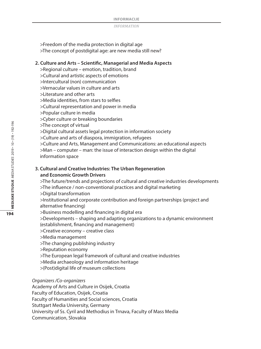>Freedom of the media protection in digital age >The concept of postdigital age: are new media still new?

### **2. Culture and Arts – Scientific, Managerial and Media Aspects**

>Regional culture – emotion, tradition, brand

- >Cultural and artistic aspects of emotions
- >Intercultural (non) communication

>Vernacular values in culture and arts

>Literature and other arts

>Media identities, from stars to selfies

- >Cultural representation and power in media
- >Popular culture in media

>Cyber culture or breaking boundaries

- >The concept of virtual
- >Digital cultural assets legal protection in information society
- >Culture and arts of diaspora, immigration, refugees
- >Culture and Arts, Management and Communications: an educational aspects >Man – computer – man: the issue of interaction design within the digital information space

## **3. Cultural and Creative Industries: The Urban Regeneration and Economic Growth Drivers**

>The future/trends and projections of cultural and creative industries developments >The influence / non-conventional practices and digital marketing

>Digital transformation

>Institutional and corporate contribution and foreign partnerships (project and alternative financing)

>Business modelling and financing in digital era

>Developments – shaping and adapting organizations to a dynamic environment (establishment, financing and management)

- >Creative economy creative class
- >Media management
- >The changing publishing industry
- >Reputation economy
- >The European legal framework of cultural and creative industries
- >Media archaeology and information heritage
- >(Post)digital life of museum collections

#### *Organizers /Co-organizers*

Academy of Arts and Culture in Osijek, Croatia

Faculty of Education, Osijek, Croatia

Faculty of Humanities and Social sciences, Croatia

Stuttgart Media University, Germany

University of Ss. Cyril and Methodius in Trnava, Faculty of Mass Media

Communication, Slovakia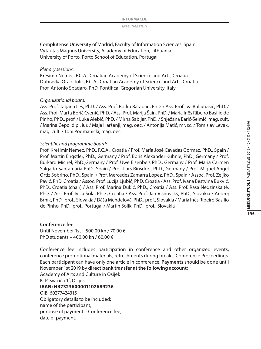Complutense University of Madrid, Faculty of Information Sciences, Spain Vytautas Magnus University, Academy of Education, Lithuania University of Porto, Porto School of Education, Portugal

#### *Plenary sessions:*

Krešimir Nemec, F.C.A., Croatian Academy of Science and Arts, Croatia Dubravka Oraić Tolić, F.C.A., Croatian Academy of Science and Arts, Croatia Prof. Antonio Spadaro, PhD, Pontifical Gregorian University, Italy

#### *Organizational board:*

Ass. Prof. Tatjana Ileš, PhD. / Ass. Prof. Borko Baraban, PhD. / Ass. Prof. Iva Buljubašić, PhD. / Ass. Prof. Marta Borić Cvenić, PhD. / Ass. Prof. Marija Šain, PhD. / Maria Inês Ribeiro Basílio de Pinho, PhD., prof. / Luka Alebić, PhD. / Mirna Sabljar, PhD. / Snježana Barić-Šelmić, mag. cult. / Marina Čepo, dipl. iur. / Maja Haršanji, mag. oec. / Antonija Matić, mr. sc. / Tomislav Levak, mag. cult. / Toni Podmanicki, mag. oec.

#### *Scientific and programme board:*

Prof. Krešimir Nemec, PhD., F.C.A., Croatia / Prof. María José Cavadas Gormaz, PhD., Spain / Prof. Martin Engstler, PhD., Germany / Prof. Boris Alexander Kühnle, PhD., Germany / Prof. Burkard Michel, PhD.,Germany / Prof. Uwe Eisenbeis PhD., Germany / Prof. Maria Carmen Salgado Santamaría PhD., Spain / Prof. Lars Rinsdorf, PhD., Germany / Prof. Miguel Ángel Ortiz Sobrino, PhD., Spain, / Prof. Mercedes Zamarra López, PhD., Spain / Assoc. Prof. Željko Pavić, PhD. Croatia / Assoc. Prof. Lucija Ljubić, PhD. Croatia / Ass. Prof. Ivana Bestvina Bukvić, PhD., Croatia (chair) / Ass. Prof. Marina Đukić, PhD., Croatia / Ass. Prof. Rasa Nedzinskaitė, PhD. / Ass. Prof. Ivica Šola, PhD., Croatia / Ass. Prof. Ján Višňovský, PhD., Slovakia / Andrej Brník, PhD., prof., Slovakia / Dáša Mendelová, PhD., prof., Slovakia / Maria Inês Ribeiro Basílio de Pinho, PhD., prof., Portugal / Martin Solík, PhD., prof., Slovakia

#### **Conference fee**

Until November 1st – 500.00 kn / 70.00 € PhD students – 400.00 kn / 60.00 €

Conference fee includes participation in conference and other organized events, conference promotional materials, refreshments during breaks, Conference Proceedings. Each participant can have only one article in conference. **Payments** should be done until November 1st 2019 by **direct bank transfer at the following account:** Academy of Arts and Culture in Osijek

K. P. Svačića 1f, Osijek

#### **IBAN: HR7323600001102689236** OIB: 60277424315

Obligatory details to be included:

name of the participant,

purpose of payment – Conference fee,

date of payment.